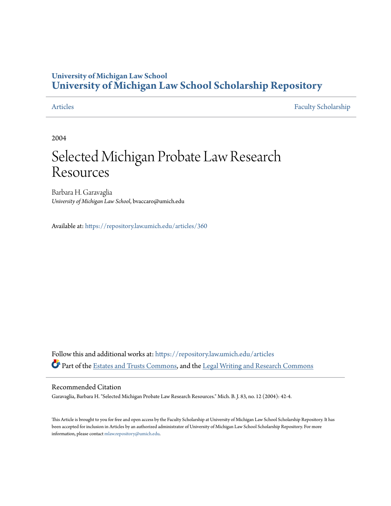### **University of Michigan Law School [University of Michigan Law School Scholarship Repository](https://repository.law.umich.edu?utm_source=repository.law.umich.edu%2Farticles%2F360&utm_medium=PDF&utm_campaign=PDFCoverPages)**

[Articles](https://repository.law.umich.edu/articles?utm_source=repository.law.umich.edu%2Farticles%2F360&utm_medium=PDF&utm_campaign=PDFCoverPages) [Faculty Scholarship](https://repository.law.umich.edu/faculty_scholarship?utm_source=repository.law.umich.edu%2Farticles%2F360&utm_medium=PDF&utm_campaign=PDFCoverPages)

2004

## Selected Michigan Probate Law Research Resources

Barbara H. Garavaglia *University of Michigan Law School*, bvaccaro@umich.edu

Available at: <https://repository.law.umich.edu/articles/360>

Follow this and additional works at: [https://repository.law.umich.edu/articles](https://repository.law.umich.edu/articles?utm_source=repository.law.umich.edu%2Farticles%2F360&utm_medium=PDF&utm_campaign=PDFCoverPages) Part of the [Estates and Trusts Commons,](http://network.bepress.com/hgg/discipline/906?utm_source=repository.law.umich.edu%2Farticles%2F360&utm_medium=PDF&utm_campaign=PDFCoverPages) and the [Legal Writing and Research Commons](http://network.bepress.com/hgg/discipline/614?utm_source=repository.law.umich.edu%2Farticles%2F360&utm_medium=PDF&utm_campaign=PDFCoverPages)

#### Recommended Citation

Garavaglia, Barbara H. "Selected Michigan Probate Law Research Resources." Mich. B. J. 83, no. 12 (2004): 42-4.

This Article is brought to you for free and open access by the Faculty Scholarship at University of Michigan Law School Scholarship Repository. It has been accepted for inclusion in Articles by an authorized administrator of University of Michigan Law School Scholarship Repository. For more information, please contact [mlaw.repository@umich.edu.](mailto:mlaw.repository@umich.edu)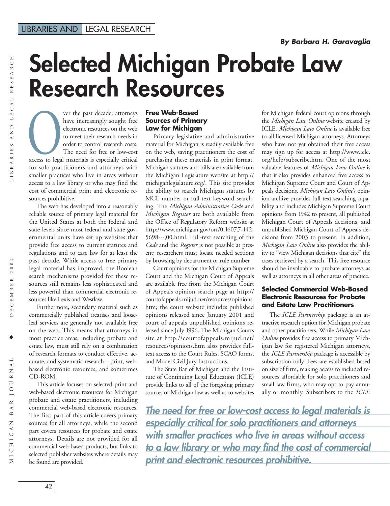# **Selected Michigan Probate Law Research Resources**

RESEARCH DECEMBER 2004 LIBRARIES AND LEGAL RESEARCH LIBRARIES AND LEGAL

ver the past decade, attorneys have increasingly sought free electronic resources on the web to meet their research needs in order to control research costs. The need for free or low-cost access to legal materials is especially critical<br>
access to legal materials is especially critical for solo practitioners and attorneys with smaller practices who live in areas without access to a law library or who may find the cost of commercial print and electronic resources prohibitive.

The web has developed into a reasonably reliable source of primary legal material for the United States at both the federal and state levels since most federal and state governmental units have set up websites that provide free access to current statutes and regulations and to case law for at least the past decade. While access to free primary legal material has improved, the Boolean search mechanisms provided for these resources still remains less sophisticated and less powerful than commercial electronic resources like Lexis and Westlaw.

Furthermore, secondary material such as commercially published treatises and looseleaf services are generally not available free on the web. This means that attorneys in most practice areas, including probate and estate law, must still rely on a combination of research formats to conduct effective, accurate, and systematic research—print, webbased electronic resources, and sometimes CD-ROM.

This article focuses on selected print and web-based electronic resources for Michigan probate and estate practitioners, including commercial web-based electronic resources. The first part of this article covers primary sources for all attorneys, while the second part covers resources for probate and estate attorneys. Details are not provided for all commercial web-based products, but links to selected publisher websites where details may be found are provided.

#### **Free Web-Based Sources of Primary Law for Michigan**

Primary legislative and administrative material for Michigan is readily available free on the web, saving practitioners the cost of purchasing these materials in print format. Michigan statutes and bills are available from the Michigan Legislature website at http:// michiganlegislature.org/. This site provides the ability to search Michigan statutes by MCL number or full-text keyword searching. The *Michigan Administrative Code* and *Michigan Register* are both available from the Office of Regulatory Reform website at http://www.michigan.gov/orr/0,1607,7-142- 5698---,00.html. Full-text searching of the *Code* and the *Register* is not possible at present; researchers must locate needed sections by browsing by department or rule number.

Court opinions for the Michigan Supreme Court and the Michigan Court of Appeals are available free from the Michigan Court of Appeals opinion search page at http:// courtofappeals.mijud.net/resources/opinions. htm; the court website includes published opinions released since January 2001 and court of appeals unpublished opinions released since July 1996. The Michigan Courts site at http://courtofappeals.mijud.net/ resources/opinions.htm also provides fulltext access to the Court Rules, SCAO forms, and Model Civil Jury Instructions.

The State Bar of Michigan and the Institute of Continuing Legal Education (ICLE) provide links to all of the foregoing primary sources of Michigan law as well as to websites

for Michigan federal court opinions through the *Michigan Law Online* website created by ICLE. *Michigan Law Online* is available free to all licensed Michigan attorneys. Attorneys who have not yet obtained their free access may sign up for access at http://www.icle. org/help/subscribe.htm. One of the most valuable features of *Michigan Law Online* is that it also provides enhanced free access to Michigan Supreme Court and Court of Appeals decisions. *Michigan Law Online*'s opinion archive provides full-text searching capability and includes Michigan Supreme Court opinions from 1942 to present, all published Michigan Court of Appeals decisions, and unpublished Michigan Court of Appeals decisions from 2003 to present. In addition, *Michigan Law Online* also provides the ability to "view Michigan decisions that cite" the cases retrieved by a search. This free resource should be invaluable to probate attorneys as well as attorneys in all other areas of practice.

#### **Selected Commercial Web-Based Electronic Resources for Probate and Estate Law Practitioners**

The *ICLE Partnership* package is an attractive research option for Michigan probate and other practitioners. While *Michigan Law Online* provides free access to primary Michigan law for registered Michigan attorneys, the *ICLE Partnership* package is accessible by subscription only. Fees are established based on size of firm, making access to included resources affordable for solo practitioners and small law firms, who may opt to pay annually or monthly. Subscribers to the *ICLE*

*The need for free or low-cost access to legal materials is especially critical for solo practitioners and attorneys with smaller practices who live in areas without access to a law library or who may find the cost of commercial print and electronic resources prohibitive.*

♦

DECEMBER 2004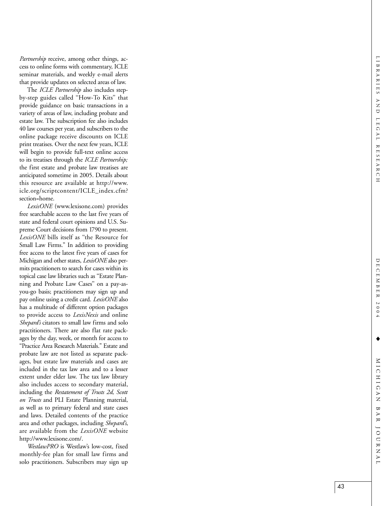*Pa rtnership* receive, among other things, access to online forms with commentary, ICLE seminar materials, and weekly e-mail alerts that provide updates on selected areas of law.

The *ICLE Partnership* also includes stepby-step guides called ''How-To Kits'' that provide guidance on basic transactions in a variety of areas of law, including probate and estate law. The subscription fee also includes 40 law courses per year, and subscribers to the online package receive discounts on ICLE print treatises. Over the next few years, ICLE will begin to provide full-text online access to its treatises through the *ICLE Partnership;* the first estate and probate law treatises are anticipated sometime in 2005. Details about this resource are available at http://www. icle.org/scriptcontent/ICLE\_index.cfm? section=home.

*LexisONE* (www.lexisone.com) provides free searchable access to the last five years of state and federal court opinions and U.S. Supreme Court decisions from 1790 to present. *LexisONE* bills itself as ''the Resource for Small Law Firms.'' In addition to providing free access to the latest five years of cases for Michigan and other states, *LexisONE* also permits practitioners to search for cases within its topical case law libraries such as ''Estate Planning and Probate Law Cases'' on a pay-asyou-go basis; practitioners may sign up and pay online using a credit card. *LexisONE* also has a multitude of different option packages to provide access to *LexisNexis* and online *Shepard's* citators to small law firms and solo practitioners. There are also flat rate packages by the day, week, or month for access to '' Practice Area Research Materials.'' Estate and probate law are not listed as separate packages, but estate law materials and cases are included in the tax law area and to a lesser extent under elder law. The tax law library also includes access to secondary material, including the *Restatement of Trusts 2d, Scott on Trusts* and PLI Estate Planning material, as well as to primary federal and state cases and laws. Detailed contents of the practice area and other packages, including *Shepard's*, are available from the *LexisONE* website http://www.lexisone.com/.

*WestlawPRO* is Westlaw's low-cost, fixed monthly-fee plan for small law firms and solo practitioners. Subscribers may sign up